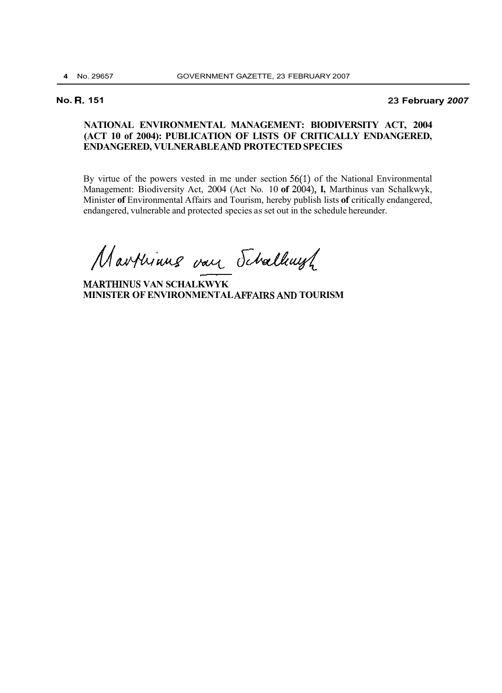## **No. R. 151 23 February** *2007*

## **NATIONAL ENVIRONMENTAL MANAGEMENT: BIODIVERSITY ACT, 2004 (ACT 10 of 2004): PUBLICATION OF LISTS OF CRITICALLY ENDANGERED, ENDANGERED, VULNERABLE** *AND* **PROTECTED SPECIES**

By virtue of the powers vested in me under section 56(1) of the National Environmental Management: Biodiversity Act, 2004 (Act No. 10 **of** 2004), **I,** Marthinus van Schalkwyk, Minister **of** Environmental Affairs and Tourism, hereby publish lists **of** critically endangered, endangered, vulnerable and protected species as set out in the schedule hereunder.

Marthinus van Schallaugh

**MARTHINUS VAN SCHALKWYK MINISTER OF ENVIRONMENTAL** *AFF'ATRS AND* **TOURISM**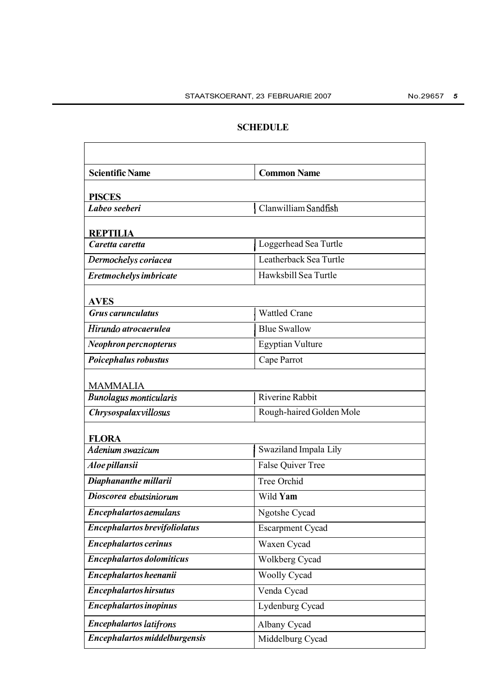## **SCHEDULE**

| <b>Scientific Name</b>                                          | <b>Common Name</b>       |
|-----------------------------------------------------------------|--------------------------|
| <b>PISCES</b>                                                   |                          |
| Labeo seeberi                                                   | Clanwilliam Sandfish     |
|                                                                 |                          |
| REPTILIA<br>Caretta caretta                                     | Loggerhead Sea Turtle    |
| Dermochelys coriacea                                            | Leatherback Sea Turtle   |
| Eretmochelys imbricate                                          | Hawksbill Sea Turtle     |
|                                                                 |                          |
| <b>AVES</b><br><b>Grus carunculatus</b><br><b>Wattled Crane</b> |                          |
| Hirundo atrocaerulea                                            | <b>Blue Swallow</b>      |
|                                                                 |                          |
| Neophron percnopterus                                           | <b>Egyptian Vulture</b>  |
| Poicephalus robustus                                            | Cape Parrot              |
| <b>MAMMALIA</b>                                                 |                          |
| <b>Bunolagus monticularis</b>                                   | Riverine Rabbit          |
| Chrysospalaxvillosus                                            | Rough-haired Golden Mole |
| <b>FLORA</b>                                                    |                          |
| Adenium swazicum                                                | Swaziland Impala Lily    |
| Aloe pillansii                                                  | <b>False Quiver Tree</b> |
| Diaphananthe millarii                                           | Tree Orchid              |
| Dioscorea ebutsiniorum                                          | Wild Yam                 |
| Encephalartos aemulans                                          | Ngotshe Cycad            |
| <b>Encephalartos brevifoliolatus</b>                            | <b>Escarpment Cycad</b>  |
| <b>Encephalartos cerinus</b>                                    | Waxen Cycad              |
| <b>Encephalartos dolomiticus</b>                                | Wolkberg Cycad           |
| Encephalartos heenanii                                          | <b>Woolly Cycad</b>      |
| <b>Encephalartos hirsutus</b>                                   | Venda Cycad              |
| <b>Encephalartos inopinus</b>                                   | Lydenburg Cycad          |
| <b>Encephalartos latifrons</b>                                  | Albany Cycad             |
| Encephalartos middelburgensis                                   | Middelburg Cycad         |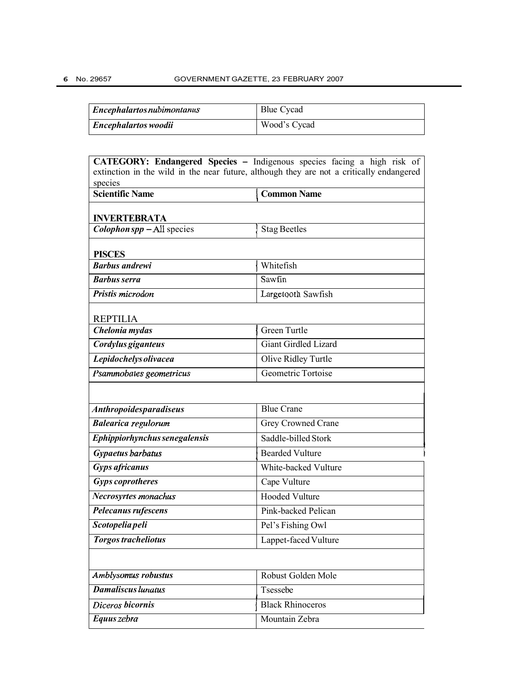| $\vert$ Encephalartos nubimontanus | <b>Blue Cycad</b> |
|------------------------------------|-------------------|
| <i>Encephalartos woodii</i>        | Wood's Cycad      |

| CATEGORY: Endangered Species - Indigenous species facing a high risk of                             |                         |
|-----------------------------------------------------------------------------------------------------|-------------------------|
| extinction in the wild in the near future, although they are not a critically endangered<br>species |                         |
| <b>Scientific Name</b>                                                                              | <b>Common Name</b>      |
|                                                                                                     |                         |
| <b>INVERTEBRATA</b><br>$\textit{Colophon}$ spp $-$ All species                                      |                         |
|                                                                                                     | <b>Stag Beetles</b>     |
| <b>PISCES</b>                                                                                       |                         |
| <b>Barbus</b> andrewi                                                                               | Whitefish               |
| <b>Barbus serra</b>                                                                                 | Sawfin                  |
| Pristis microdon                                                                                    | Largetooth Sawfish      |
|                                                                                                     |                         |
| <b>REPTILIA</b><br>Chelonia mydas                                                                   | <b>Green Turtle</b>     |
| Cordylus giganteus                                                                                  | Giant Girdled Lizard    |
| Lepidochelys olivacea                                                                               | Olive Ridley Turtle     |
| Psammobates geometricus                                                                             | Geometric Tortoise      |
|                                                                                                     |                         |
|                                                                                                     |                         |
| <b>Anthropoidesparadiseus</b>                                                                       | <b>Blue Crane</b>       |
| <b>Balearica regulorum</b>                                                                          | Grey Crowned Crane      |
| Ephippiorhynchus senegalensis                                                                       | Saddle-billed Stork     |
| Gypaetus barbatus                                                                                   | <b>Bearded Vulture</b>  |
| <b>Gyps africanus</b>                                                                               | White-backed Vulture    |
| <b>Gyps coprotheres</b>                                                                             | Cape Vulture            |
| Necrosyrtes monachus                                                                                | <b>Hooded Vulture</b>   |
| Pelecanus rufescens                                                                                 | Pink-backed Pelican     |
| Scotopelia peli                                                                                     | Pel's Fishing Owl       |
| <b>Torgos tracheliotus</b>                                                                          | Lappet-faced Vulture    |
|                                                                                                     |                         |
| Amblysomus robustus                                                                                 | Robust Golden Mole      |
| Damaliscus lunatus                                                                                  | Tsessebe                |
| Diceros bicornis                                                                                    | <b>Black Rhinoceros</b> |
| Equus zebra                                                                                         | Mountain Zebra          |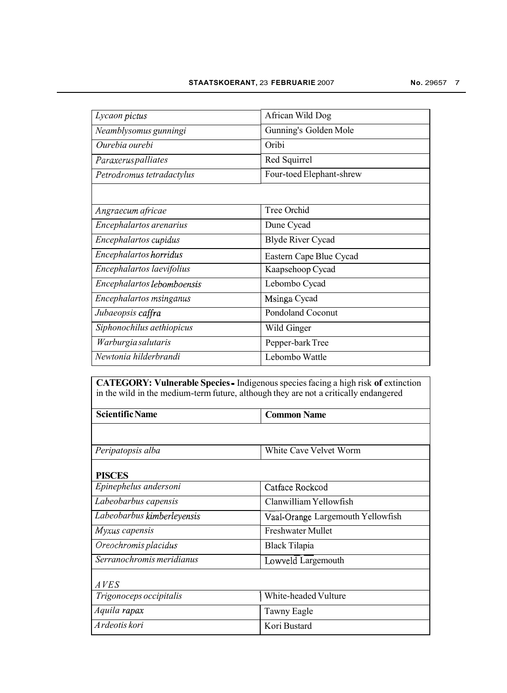| Lycaon pictus              | African Wild Dog         |
|----------------------------|--------------------------|
| Neamblysomus gunningi      | Gunning's Golden Mole    |
| Ourebia ourebi             | Oribi                    |
| Paraxerus palliates        | Red Squirrel             |
| Petrodromus tetradactylus  | Four-toed Elephant-shrew |
|                            |                          |
| Angraecum africae          | Tree Orchid              |
| Encephalartos arenarius    | Dune Cycad               |
| Encephalartos cupidus      | <b>Blyde River Cycad</b> |
| Encephalartos horridus     | Eastern Cape Blue Cycad  |
| Encephalartos laevifolius  | Kaapsehoop Cycad         |
| Encephalartos lebomboensis | Lebombo Cycad            |
| Encephalartos msinganus    | Msinga Cycad             |
| Jubaeopsis caffra          | <b>Pondoland Coconut</b> |
| Siphonochilus aethiopicus  | Wild Ginger              |
| Warburgia salutaris        | Pepper-bark Tree         |
| Newtonia hilderbrandi      | Lebombo Wattle           |

**CATEGORY: Vulnerable Species** - Indigenous species facing a high risk **of** extinction in the wild in the medium-term future, although they are not a critically endangered

| <b>Scientific Name</b>     | <b>Common Name</b>                |
|----------------------------|-----------------------------------|
|                            |                                   |
| Peripatopsis alba          | White Cave Velvet Worm            |
| <b>PISCES</b>              |                                   |
| Epinephelus andersoni      | Catface Rockcod                   |
| Labeobarbus capensis       | Clanwilliam Yellowfish            |
| Labeobarbus kimberleyensis | Vaal-Orange Largemouth Yellowfish |
| Myxus capensis             | <b>Freshwater Mullet</b>          |
| Oreochromis placidus       | Black Tilapia                     |
| Serranochromis meridianus  | Lowveld Largemouth                |
| A VES                      |                                   |
| Trigonoceps occipitalis    | White-headed Vulture              |
| Aquila rapax               | Tawny Eagle                       |
| Ardeotis kori              | Kori Bustard                      |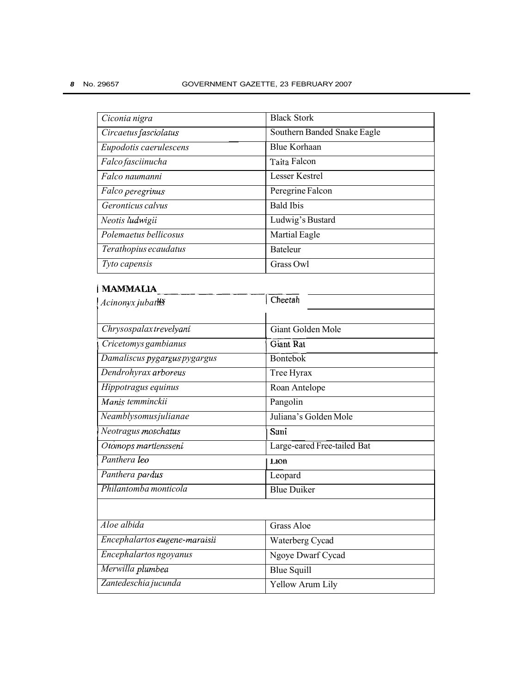| Ciconia nigra                 | <b>Black Stork</b>          |
|-------------------------------|-----------------------------|
| Circaetus fasciolatus         | Southern Banded Snake Eagle |
| Eupodotis caerulescens        | <b>Blue Korhaan</b>         |
| Falco fasciinucha             | Taita Falcon                |
| Falco naumanni                | <b>Lesser Kestrel</b>       |
| Falco peregrinus              | Peregrine Falcon            |
| Geronticus calvus             | <b>Bald Ibis</b>            |
| Neotis ludwigii               | Ludwig's Bustard            |
| Polemaetus bellicosus         | Martial Eagle               |
| Terathopius ecaudatus         | <b>Bateleur</b>             |
| Tyto capensis                 | Grass Owl                   |
| <b>MAMMALIA</b>               |                             |
| Acinonyx jubaths              | Cheetah                     |
|                               |                             |
| Chrysospalaxtrevelyani        | <b>Giant Golden Mole</b>    |
| Cricetomys gambianus          | <b>Giant Rat</b>            |
| Damaliscus pygargus pygargus  | <b>Bontebok</b>             |
| Dendrohyrax arboreus          | Tree Hyrax                  |
| Hippotragus equinus           | Roan Antelope               |
| Manis temminckii              | Pangolin                    |
| Neamblysomusjulianae          | Juliana's Golden Mole       |
| Neotragus moschatus           | Suni                        |
| Otomops martiensseni          | Large-eared Free-tailed Bat |
| Panthera leo                  | $L$ <sub>10</sub> $n$       |
| Panthera pardus               | Leopard                     |
| Philantomba monticola         | <b>Blue Duiker</b>          |
|                               |                             |
| Aloe albida                   | <b>Grass Aloe</b>           |
| Encephalartos eugene-maraisii | Waterberg Cycad             |
| Encephalartos ngoyanus        | Ngoye Dwarf Cycad           |
| Merwilla plumbea              | <b>Blue Squill</b>          |
| Zantedeschia jucunda          | Yellow Arum Lily            |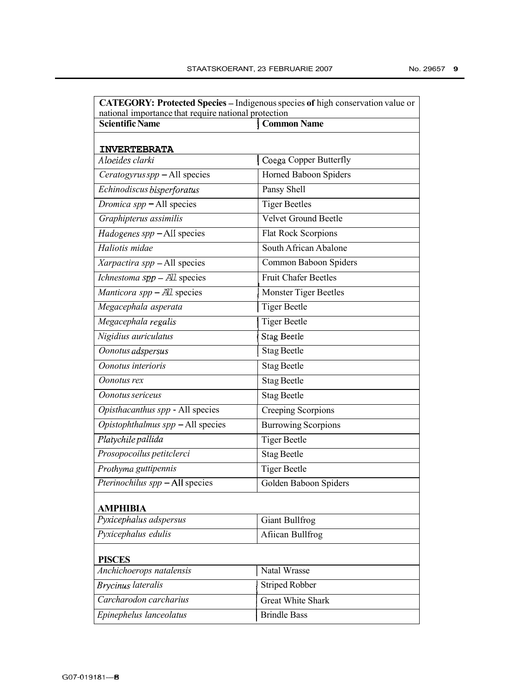| <b>CATEGORY: Protected Species - Indigenous species of high conservation value or</b><br>national importance that require national protection |                              |
|-----------------------------------------------------------------------------------------------------------------------------------------------|------------------------------|
| <b>Scientific Name</b>                                                                                                                        | <b>Common Name</b>           |
|                                                                                                                                               |                              |
| <b>INVERTEBRATA</b>                                                                                                                           |                              |
| Aloeides clarki                                                                                                                               | Coega Copper Butterfly       |
| Ceratogyrus spp - All species                                                                                                                 | Horned Baboon Spiders        |
| Echinodiscus bisperforatus                                                                                                                    | Pansy Shell                  |
| Dromica spp - All species                                                                                                                     | <b>Tiger Beetles</b>         |
| Graphipterus assimilis                                                                                                                        | <b>Velvet Ground Beetle</b>  |
| Hadogenes spp - All species                                                                                                                   | <b>Flat Rock Scorpions</b>   |
| Haliotis midae                                                                                                                                | South African Abalone        |
| Xarpactira spp - All species                                                                                                                  | Common Baboon Spiders        |
| Ichnestoma spp - All species                                                                                                                  | <b>Fruit Chafer Beetles</b>  |
| Manticora spp $-$ All species                                                                                                                 | <b>Monster Tiger Beetles</b> |
| Megacephala asperata                                                                                                                          | <b>Tiger Beetle</b>          |
| Megacephala regalis                                                                                                                           | <b>Tiger Beetle</b>          |
| Nigidius auriculatus                                                                                                                          | Stag Beetle                  |
| Oonotus adspersus                                                                                                                             | <b>Stag Beetle</b>           |
| Oonotus interioris                                                                                                                            | <b>Stag Beetle</b>           |
| Oonotus rex                                                                                                                                   | <b>Stag Beetle</b>           |
| Oonotus sericeus                                                                                                                              | <b>Stag Beetle</b>           |
| Opisthacanthus spp - All species                                                                                                              | Creeping Scorpions           |
| Opistophthalmus spp - All species                                                                                                             | <b>Burrowing Scorpions</b>   |
| Platychile pallida                                                                                                                            | <b>Tiger Beetle</b>          |
| Prosopocoilus petitclerci                                                                                                                     | <b>Stag Beetle</b>           |
| Prothyma guttipennis                                                                                                                          | <b>Tiger Beetle</b>          |
| Pterinochilus spp - All species                                                                                                               | Golden Baboon Spiders        |
| <b>AMPHIBIA</b>                                                                                                                               |                              |
| Pyxicephalus adspersus                                                                                                                        | <b>Giant Bullfrog</b>        |
| Pyxicephalus edulis                                                                                                                           | Afiican Bullfrog             |
| <b>PISCES</b>                                                                                                                                 |                              |
| Anchichoerops natalensis                                                                                                                      | Natal Wrasse                 |
| <b>Brycinus lateralis</b>                                                                                                                     | <b>Striped Robber</b>        |
| Carcharodon carcharius                                                                                                                        | <b>Great White Shark</b>     |
| Epinephelus lanceolatus                                                                                                                       | <b>Brindle Bass</b>          |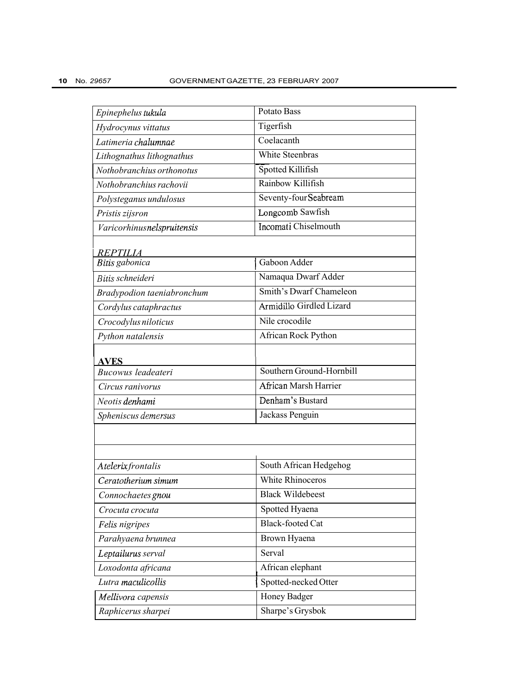| Epinephelus tukula         | Potato Bass                     |
|----------------------------|---------------------------------|
| Hydrocynus vittatus        | Tigerfish                       |
| Latimeria chalumnae        | Coelacanth                      |
| Lithognathus lithognathus  | <b>White Steenbras</b>          |
| Nothobranchius orthonotus  | Spotted Killifish               |
| Nothobranchius rachovii    | Rainbow Killifish               |
| Polysteganus undulosus     | Seventy-four Seabream           |
| Pristis zijsron            | Longcomb Sawfish                |
| Varicorhinusnelspruitensis | Incomati Chiselmouth            |
| REPTILIA                   |                                 |
| Bitis gabonica             | Gaboon Adder                    |
| Bitis schneideri           | Namaqua Dwarf Adder             |
| Bradypodion taeniabronchum | Smith's Dwarf Chameleon         |
| Cordylus cataphractus      | <b>Armidillo Girdled Lizard</b> |
| Crocodylus niloticus       | Nile crocodile                  |
| Python natalensis          | African Rock Python             |
| <b>AVES</b>                |                                 |
| Bucowus leadeateri         | Southern Ground-Hornbill        |
| Circus ranivorus           | <b>African Marsh Harrier</b>    |
| Neotis denhami             | Denham's Bustard                |
| Spheniscus demersus        | Jackass Penguin                 |
|                            |                                 |
|                            |                                 |
| Atelerix frontalis         | South African Hedgehog          |
| Ceratotherium simum        | White Rhinoceros                |
| Connochaetes gnou          | <b>Black Wildebeest</b>         |
| Crocuta crocuta            | Spotted Hyaena                  |
| Felis nigripes             | <b>Black-footed Cat</b>         |
| Parahyaena brunnea         | Brown Hyaena                    |
| Leptailurus serval         | Serval                          |
| Loxodonta africana         | African elephant                |
| Lutra maculicollis         | Spotted-necked Otter            |
| Mellivora capensis         | Honey Badger                    |
| Raphicerus sharpei         | Sharpe's Grysbok                |